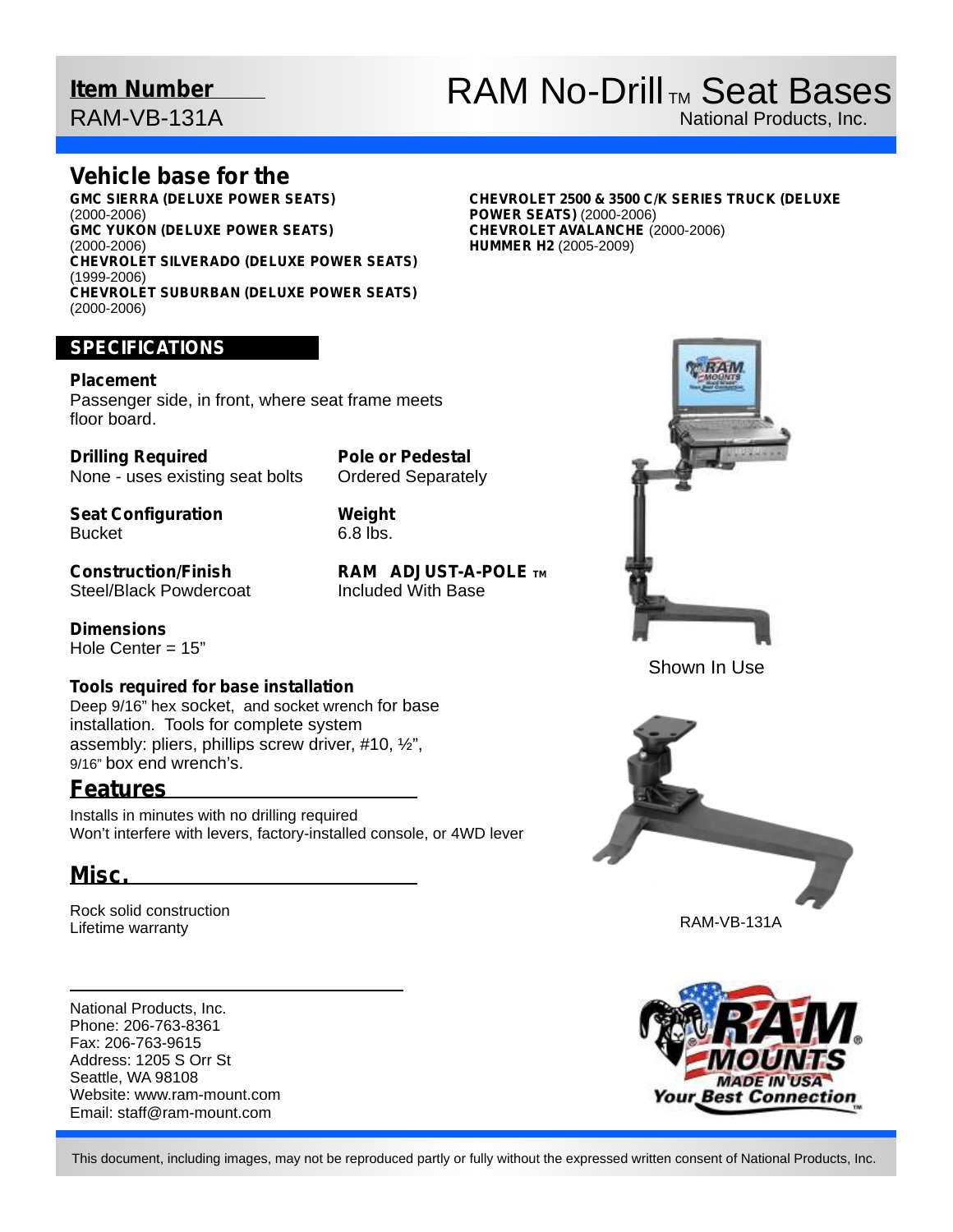## **Item Number**

RAM-VB-131A

# RAM No-Drill<sub>TM</sub> Seat Bases

National Products, Inc.

### **Vehicle base for the**

**GMC SIERRA (DELUXE POWER SEATS)**  (2000-2006) **GMC YUKON (DELUXE POWER SEATS)**  (2000-2006) **CHEVROLET SILVERADO (DELUXE POWER SEATS)**  (1999-2006) **CHEVROLET SUBURBAN (DELUXE POWER SEATS)**  (2000-2006)

#### **CHEVROLET 2500 & 3500 C/K SERIES TRUCK (DELUXE POWER SEATS)** (2000-2006) **CHEVROLET AVALANCHE** (2000-2006) **HUMMER H2** (2005-2009)

### **SPECIFICATIONS**

#### **Placement**

Passenger side, in front, where seat frame meets floor board.

**Drilling Required** None - uses existing seat bolts **Pole or Pedestal** Ordered Separately

**Seat Configuration Bucket** 

**Weight** 6.8 lbs.

**Construction/Finish** Steel/Black Powdercoat

**Dimensions** Hole Center = 15"

### **Tools required for base installation**

Deep 9/16" hex socket, and socket wrench for base installation. Tools for complete system assembly: pliers, phillips screw driver, #10, ½", 9/16" box end wrench's.

### **Features**

Installs in minutes with no drilling required Won't interfere with levers, factory-installed console, or 4WD lever

## **Misc.**

Rock solid construction Lifetime warranty

National Products, Inc. Phone: 206-763-8361 Fax: 206-763-9615 Address: 1205 S Orr St Seattle, WA 98108 Website: www.ram-mount.com Email: staff@ram-mount.com

**RAM ADJUST-A-POLE TM** Included With Base